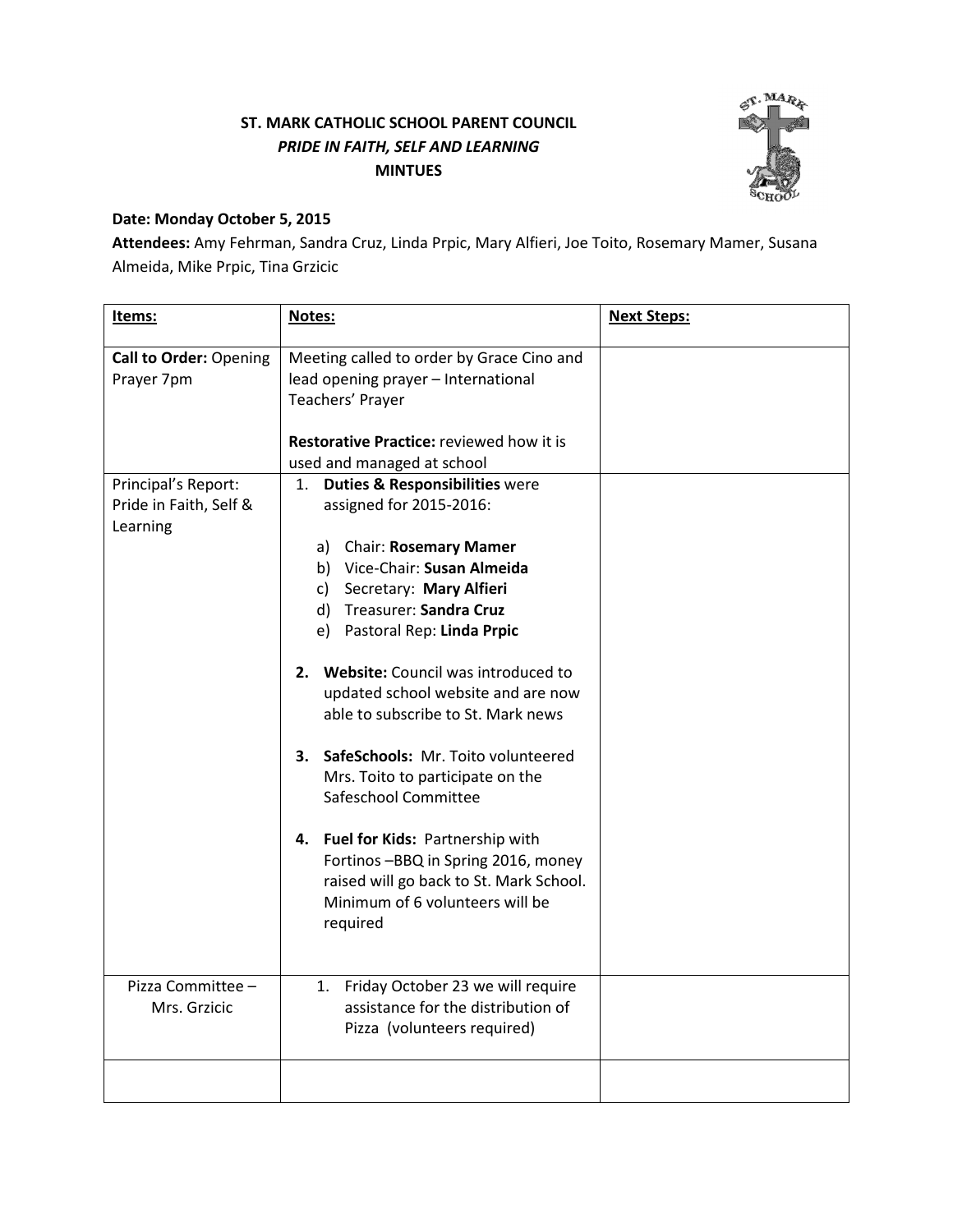## ST. MARK CATHOLIC SCHOOL PARENT COUNCIL PRIDE IN FAITH, SELF AND LEARNING MINTUES



## Date: Monday October 5, 2015

Attendees: Amy Fehrman, Sandra Cruz, Linda Prpic, Mary Alfieri, Joe Toito, Rosemary Mamer, Susana Almeida, Mike Prpic, Tina Grzicic

| Items:                                                                                                   | Notes:                                                                                                                                                                                                                                                                                                                                                                                                                     | <b>Next Steps:</b> |
|----------------------------------------------------------------------------------------------------------|----------------------------------------------------------------------------------------------------------------------------------------------------------------------------------------------------------------------------------------------------------------------------------------------------------------------------------------------------------------------------------------------------------------------------|--------------------|
| <b>Call to Order: Opening</b><br>Prayer 7pm<br>Principal's Report:<br>Pride in Faith, Self &<br>Learning | Meeting called to order by Grace Cino and<br>lead opening prayer - International<br>Teachers' Prayer<br><b>Restorative Practice: reviewed how it is</b><br>used and managed at school<br><b>Duties &amp; Responsibilities were</b><br>1.<br>assigned for 2015-2016:<br>a) Chair: Rosemary Mamer<br>b) Vice-Chair: Susan Almeida<br>c) Secretary: Mary Alfieri<br>d) Treasurer: Sandra Cruz<br>e) Pastoral Rep: Linda Prpic |                    |
|                                                                                                          | 2. Website: Council was introduced to<br>updated school website and are now<br>able to subscribe to St. Mark news<br>3. SafeSchools: Mr. Toito volunteered<br>Mrs. Toito to participate on the<br>Safeschool Committee<br>4. Fuel for Kids: Partnership with<br>Fortinos -BBQ in Spring 2016, money<br>raised will go back to St. Mark School.<br>Minimum of 6 volunteers will be<br>required                              |                    |
| Pizza Committee -<br>Mrs. Grzicic                                                                        | Friday October 23 we will require<br>1.<br>assistance for the distribution of<br>Pizza (volunteers required)                                                                                                                                                                                                                                                                                                               |                    |
|                                                                                                          |                                                                                                                                                                                                                                                                                                                                                                                                                            |                    |